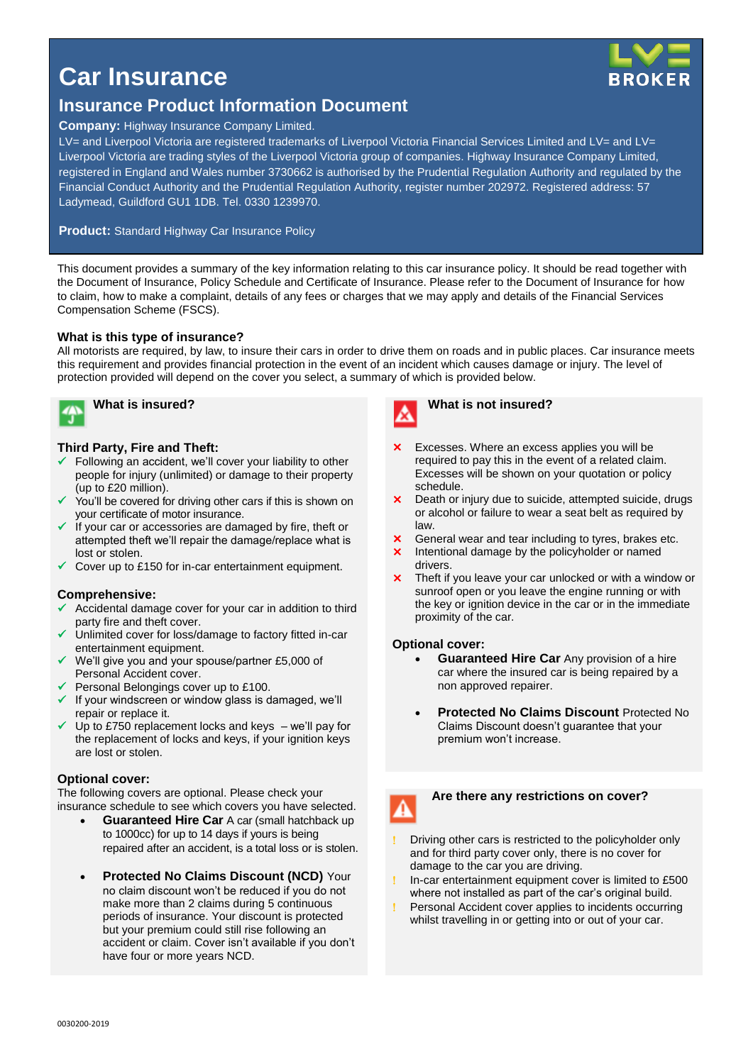

# **Car Insurance**

# **Insurance Product Information Document**

#### **Company:** Highway Insurance Company Limited.

LV= and Liverpool Victoria are registered trademarks of Liverpool Victoria Financial Services Limited and LV= and LV= Liverpool Victoria are trading styles of the Liverpool Victoria group of companies. Highway Insurance Company Limited, registered in England and Wales number 3730662 is authorised by the Prudential Regulation Authority and regulated by the Financial Conduct Authority and the Prudential Regulation Authority, register number 202972. Registered address: 57 Ladymead, Guildford GU1 1DB. Tel. 0330 1239970.

#### **Product:** Standard Highway Car Insurance Policy

This document provides a summary of the key information relating to this car insurance policy. It should be read together with the Document of Insurance, Policy Schedule and Certificate of Insurance. Please refer to the Document of Insurance for how to claim, how to make a complaint, details of any fees or charges that we may apply and details of the Financial Services Compensation Scheme (FSCS).

#### **What is this type of insurance?**

All motorists are required, by law, to insure their cars in order to drive them on roads and in public places. Car insurance meets this requirement and provides financial protection in the event of an incident which causes damage or injury. The level of protection provided will depend on the cover you select, a summary of which is provided below.



## **What is insured?**

#### **Third Party, Fire and Theft:**

- $\checkmark$  Following an accident, we'll cover your liability to other people for injury (unlimited) or damage to their property (up to £20 million).
- You'll be covered for driving other cars if this is shown on your certificate of motor insurance.
- If your car or accessories are damaged by fire, theft or attempted theft we'll repair the damage/replace what is lost or stolen.
- Cover up to £150 for in-car entertainment equipment.

#### **Comprehensive:**

- Accidental damage cover for your car in addition to third party fire and theft cover.
- Unlimited cover for loss/damage to factory fitted in-car entertainment equipment.
- We'll give you and your spouse/partner £5,000 of Personal Accident cover.
- $\checkmark$  Personal Belongings cover up to £100.
- $\checkmark$  If your windscreen or window glass is damaged, we'll repair or replace it.
- Up to £750 replacement locks and keys we'll pay for the replacement of locks and keys, if your ignition keys are lost or stolen.

#### **Optional cover:**

The following covers are optional. Please check your insurance schedule to see which covers you have selected.

- **Guaranteed Hire Car** A car (small hatchback up to 1000cc) for up to 14 days if yours is being repaired after an accident, is a total loss or is stolen.
- **Protected No Claims Discount (NCD)** Your no claim discount won't be reduced if you do not make more than 2 claims during 5 continuous periods of insurance. Your discount is protected but your premium could still rise following an accident or claim. Cover isn't available if you don't have four or more years NCD.



#### **What is not insured?**

- Excesses. Where an excess applies you will be required to pay this in the event of a related claim. Excesses will be shown on your quotation or policy schedule.
- **X** Death or injury due to suicide, attempted suicide, drugs or alcohol or failure to wear a seat belt as required by law.
- **X** General wear and tear including to tyres, brakes etc.
- **x** Intentional damage by the policyholder or named drivers.
- **X** Theft if you leave your car unlocked or with a window or sunroof open or you leave the engine running or with the key or ignition device in the car or in the immediate proximity of the car.

#### **Optional cover:**

- **Guaranteed Hire Car** Any provision of a hire car where the insured car is being repaired by a non approved repairer.
- **Protected No Claims Discount** Protected No Claims Discount doesn't guarantee that your premium won't increase.



#### **Are there any restrictions on cover?**

- Driving other cars is restricted to the policyholder only and for third party cover only, there is no cover for damage to the car you are driving.
- In-car entertainment equipment cover is limited to £500 where not installed as part of the car's original build.
- Personal Accident cover applies to incidents occurring whilst travelling in or getting into or out of your car.